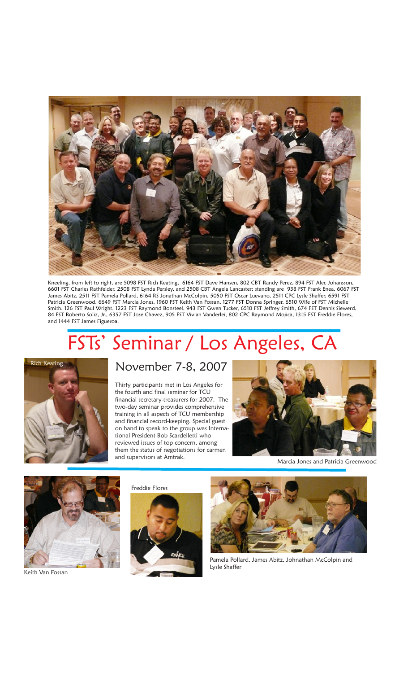

Kneeling, from left to right, are 5098 FST Rich Keating, 6164 FST Dave Hansen, 802 CBT Randy Perez, 894 FST Alec Johansson, 6601 FST Charles Rathfelder, 2508 FST Lynda Persley, and 2508 CBT Angela Lancaster; standing are 938 FST Frank Enea, 6067 FST James Abitz, 2511 FST Pamela Pollard, 6164 RS Jonathan McColpin, 5050 FST Oscar Luevano, 2511 CPC Lysle Shaffer, 6591 FST Patricia Greenwood, 6649 FST Marcia Jones, 1960 FST Keith Van Fossan, 1277 FST Donna Springer, 6510 Wife of FST Michelle Smith, 126 FST Paul Wright, 1223 FST Raymond Bonsteel, 943 FST Gwen Tucker, 6510 FST Jeffrey Smith, 674 FST Dennis Siewerd, 84 FST Roberto Soliz, Jr., 6357 FST Jose Chavez, 905 FST Vivian Vanderlei, 802 CPC Raymond Mojica, 1315 FST Freddie Flores, and 1444 FST James Figueroa.

## FSTs' Seminar / Los Angeles, CA



## November 7-8, 2007

Thirty participants met in Los Angeles for the fourth and final seminar for TCU financial secretary-treasurers for 2007. The two-day seminar provides comprehensive training in all aspects of TCU membership and financial record-keeping. Special guest on hand to speak to the group was International President Bob Scardelletti who reviewed issues of top concern, among them the status of negotiations for carmen and supervisors at Amtrak.



Marcia Jones and Patricia Greenwood



Keith Van Fossan

Freddie Flores





Pamela Pollard, James Abitz, Johnathan McColpin and Lysle Shaffer